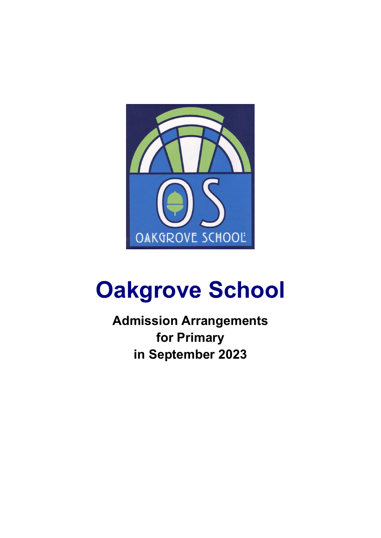

# **Oakgrove School**

**Admission Arrangements for Primary in September 2023**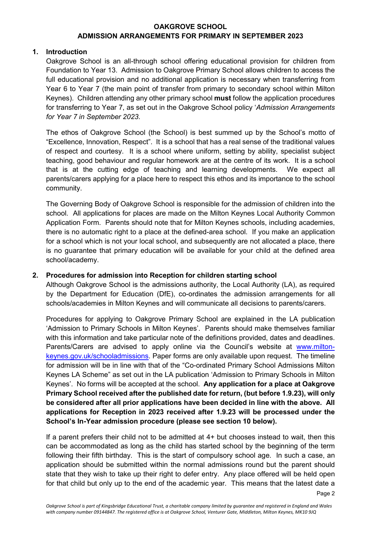## **1. Introduction**

Oakgrove School is an all-through school offering educational provision for children from Foundation to Year 13. Admission to Oakgrove Primary School allows children to access the full educational provision and no additional application is necessary when transferring from Year 6 to Year 7 (the main point of transfer from primary to secondary school within Milton Keynes). Children attending any other primary school **must** follow the application procedures for transferring to Year 7, as set out in the Oakgrove School policy '*Admission Arrangements for Year 7 in September 2023*.

The ethos of Oakgrove School (the School) is best summed up by the School's motto of "Excellence, Innovation, Respect". It is a school that has a real sense of the traditional values of respect and courtesy. It is a school where uniform, setting by ability, specialist subject teaching, good behaviour and regular homework are at the centre of its work. It is a school that is at the cutting edge of teaching and learning developments. We expect all parents/carers applying for a place here to respect this ethos and its importance to the school community.

The Governing Body of Oakgrove School is responsible for the admission of children into the school. All applications for places are made on the Milton Keynes Local Authority Common Application Form. Parents should note that for Milton Keynes schools, including academies, there is no automatic right to a place at the defined-area school. If you make an application for a school which is not your local school, and subsequently are not allocated a place, there is no guarantee that primary education will be available for your child at the defined area school/academy.

## **2. Procedures for admission into Reception for children starting school**

Although Oakgrove School is the admissions authority, the Local Authority (LA), as required by the Department for Education (DfE), co-ordinates the admission arrangements for all schools/academies in Milton Keynes and will communicate all decisions to parents/carers.

Procedures for applying to Oakgrove Primary School are explained in the LA publication 'Admission to Primary Schools in Milton Keynes'. Parents should make themselves familiar with this information and take particular note of the definitions provided, dates and deadlines. Parents/Carers are advised to apply online via the Council's website at www.miltonkeynes.gov.uk/schooladmissions. Paper forms are only available upon request. The timeline for admission will be in line with that of the "Co-ordinated Primary School Admissions Milton Keynes LA Scheme" as set out in the LA publication 'Admission to Primary Schools in Milton Keynes'. No forms will be accepted at the school. **Any application for a place at Oakgrove Primary School received after the published date for return, (but before 1.9.23), will only be considered after all prior applications have been decided in line with the above. All applications for Reception in 2023 received after 1.9.23 will be processed under the School's In-Year admission procedure (please see section 10 below).** 

If a parent prefers their child not to be admitted at 4+ but chooses instead to wait, then this can be accommodated as long as the child has started school by the beginning of the term following their fifth birthday. This is the start of compulsory school age. In such a case, an application should be submitted within the normal admissions round but the parent should state that they wish to take up their right to defer entry. Any place offered will be held open for that child but only up to the end of the academic year. This means that the latest date a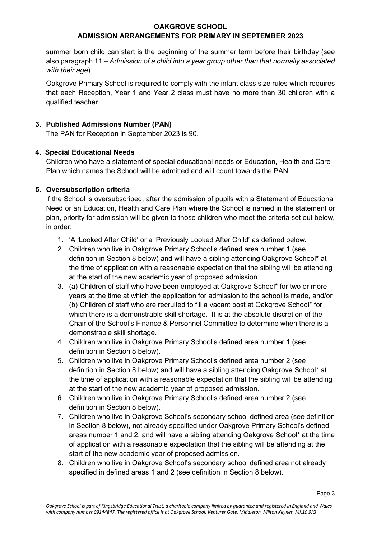## **OAKGROVE SCHOOL**

# **ADMISSION ARRANGEMENTS FOR PRIMARY IN SEPTEMBER 2023**

summer born child can start is the beginning of the summer term before their birthday (see also paragraph 11 – *Admission of a child into a year group other than that normally associated with their age*).

Oakgrove Primary School is required to comply with the infant class size rules which requires that each Reception, Year 1 and Year 2 class must have no more than 30 children with a qualified teacher.

## **3. Published Admissions Number (PAN)**

The PAN for Reception in September 2023 is 90.

## **4. Special Educational Needs**

Children who have a statement of special educational needs or Education, Health and Care Plan which names the School will be admitted and will count towards the PAN.

## **5. Oversubscription criteria**

If the School is oversubscribed, after the admission of pupils with a Statement of Educational Need or an Education, Health and Care Plan where the School is named in the statement or plan, priority for admission will be given to those children who meet the criteria set out below, in order:

- 1. 'A 'Looked After Child' or a 'Previously Looked After Child' as defined below.
- 2. Children who live in Oakgrove Primary School's defined area number 1 (see definition in Section 8 below) and will have a sibling attending Oakgrove School\* at the time of application with a reasonable expectation that the sibling will be attending at the start of the new academic year of proposed admission.
- 3. (a) Children of staff who have been employed at Oakgrove School\* for two or more years at the time at which the application for admission to the school is made, and/or (b) Children of staff who are recruited to fill a vacant post at Oakgrove School\* for which there is a demonstrable skill shortage. It is at the absolute discretion of the Chair of the School's Finance & Personnel Committee to determine when there is a demonstrable skill shortage.
- 4. Children who live in Oakgrove Primary School's defined area number 1 (see definition in Section 8 below).
- 5. Children who live in Oakgrove Primary School's defined area number 2 (see definition in Section 8 below) and will have a sibling attending Oakgrove School\* at the time of application with a reasonable expectation that the sibling will be attending at the start of the new academic year of proposed admission.
- 6. Children who live in Oakgrove Primary School's defined area number 2 (see definition in Section 8 below).
- 7. Children who live in Oakgrove School's secondary school defined area (see definition in Section 8 below), not already specified under Oakgrove Primary School's defined areas number 1 and 2, and will have a sibling attending Oakgrove School\* at the time of application with a reasonable expectation that the sibling will be attending at the start of the new academic year of proposed admission.
- 8. Children who live in Oakgrove School's secondary school defined area not already specified in defined areas 1 and 2 (see definition in Section 8 below).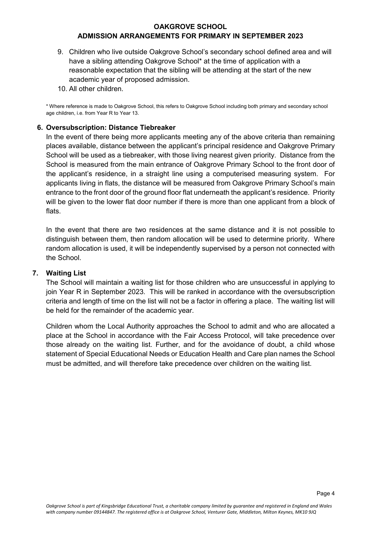- 9. Children who live outside Oakgrove School's secondary school defined area and will have a sibling attending Oakgrove School\* at the time of application with a reasonable expectation that the sibling will be attending at the start of the new academic year of proposed admission.
- 10. All other children.

\* Where reference is made to Oakgrove School, this refers to Oakgrove School including both primary and secondary school age children, i.e. from Year R to Year 13.

## **6. Oversubscription: Distance Tiebreaker**

In the event of there being more applicants meeting any of the above criteria than remaining places available, distance between the applicant's principal residence and Oakgrove Primary School will be used as a tiebreaker, with those living nearest given priority. Distance from the School is measured from the main entrance of Oakgrove Primary School to the front door of the applicant's residence, in a straight line using a computerised measuring system. For applicants living in flats, the distance will be measured from Oakgrove Primary School's main entrance to the front door of the ground floor flat underneath the applicant's residence. Priority will be given to the lower flat door number if there is more than one applicant from a block of flats.

In the event that there are two residences at the same distance and it is not possible to distinguish between them, then random allocation will be used to determine priority. Where random allocation is used, it will be independently supervised by a person not connected with the School.

#### **7. Waiting List**

The School will maintain a waiting list for those children who are unsuccessful in applying to join Year R in September 2023. This will be ranked in accordance with the oversubscription criteria and length of time on the list will not be a factor in offering a place. The waiting list will be held for the remainder of the academic year.

Children whom the Local Authority approaches the School to admit and who are allocated a place at the School in accordance with the Fair Access Protocol, will take precedence over those already on the waiting list. Further, and for the avoidance of doubt, a child whose statement of Special Educational Needs or Education Health and Care plan names the School must be admitted, and will therefore take precedence over children on the waiting list.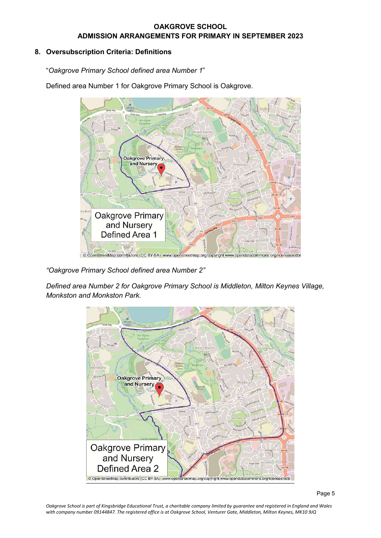# **8. Oversubscription Criteria: Definitions**

"*Oakgrove Primary School defined area Number 1*"

Defined area Number 1 for Oakgrove Primary School is Oakgrove.



*"Oakgrove Primary School defined area Number 2"* 

*Defined area Number 2 for Oakgrove Primary School is Middleton, Milton Keynes Village, Monkston and Monkston Park.* 



*Oakgrove School is part of Kingsbridge Educational Trust, a charitable company limited by guarantee and registered in England and Wales with company number 09144847. The registered office is at Oakgrove School, Venturer Gate, Middleton, Milton Keynes, MK10 9JQ*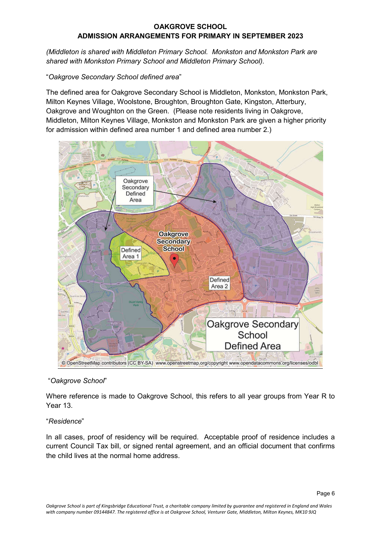*(Middleton is shared with Middleton Primary School. Monkston and Monkston Park are shared with Monkston Primary School and Middleton Primary School).* 

## "*Oakgrove Secondary School defined area*"

The defined area for Oakgrove Secondary School is Middleton, Monkston, Monkston Park, Milton Keynes Village, Woolstone, Broughton, Broughton Gate, Kingston, Atterbury, Oakgrove and Woughton on the Green. (Please note residents living in Oakgrove, Middleton, Milton Keynes Village, Monkston and Monkston Park are given a higher priority for admission within defined area number 1 and defined area number 2.)



## "*Oakgrove School*"

Where reference is made to Oakgrove School, this refers to all year groups from Year R to Year 13.

## "*Residence*"

In all cases, proof of residency will be required. Acceptable proof of residence includes a current Council Tax bill, or signed rental agreement, and an official document that confirms the child lives at the normal home address.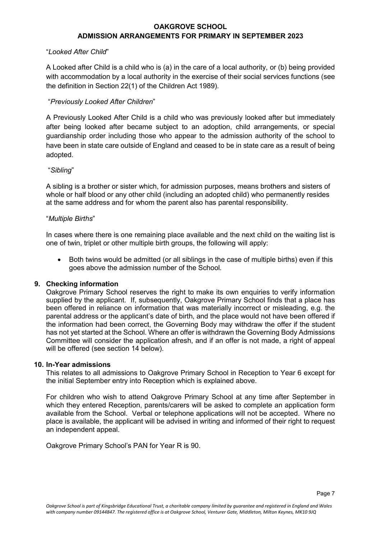#### "*Looked After Child*"

A Looked after Child is a child who is (a) in the care of a local authority, or (b) being provided with accommodation by a local authority in the exercise of their social services functions (see the definition in Section 22(1) of the Children Act 1989).

## "*Previously Looked After Children*"

A Previously Looked After Child is a child who was previously looked after but immediately after being looked after became subject to an adoption, child arrangements, or special guardianship order including those who appear to the admission authority of the school to have been in state care outside of England and ceased to be in state care as a result of being adopted.

## "*Sibling*"

A sibling is a brother or sister which, for admission purposes, means brothers and sisters of whole or half blood or any other child (including an adopted child) who permanently resides at the same address and for whom the parent also has parental responsibility.

#### "*Multiple Births*"

In cases where there is one remaining place available and the next child on the waiting list is one of twin, triplet or other multiple birth groups, the following will apply:

 Both twins would be admitted (or all siblings in the case of multiple births) even if this goes above the admission number of the School.

## **9. Checking information**

Oakgrove Primary School reserves the right to make its own enquiries to verify information supplied by the applicant. If, subsequently, Oakgrove Primary School finds that a place has been offered in reliance on information that was materially incorrect or misleading, e.g. the parental address or the applicant's date of birth, and the place would not have been offered if the information had been correct, the Governing Body may withdraw the offer if the student has not yet started at the School. Where an offer is withdrawn the Governing Body Admissions Committee will consider the application afresh, and if an offer is not made, a right of appeal will be offered (see section 14 below).

#### **10. In-Year admissions**

This relates to all admissions to Oakgrove Primary School in Reception to Year 6 except for the initial September entry into Reception which is explained above.

For children who wish to attend Oakgrove Primary School at any time after September in which they entered Reception, parents/carers will be asked to complete an application form available from the School. Verbal or telephone applications will not be accepted. Where no place is available, the applicant will be advised in writing and informed of their right to request an independent appeal.

Oakgrove Primary School's PAN for Year R is 90.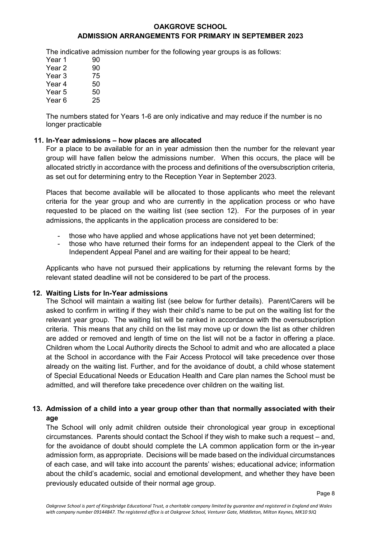## **OAKGROVE SCHOOL**

## **ADMISSION ARRANGEMENTS FOR PRIMARY IN SEPTEMBER 2023**

The indicative admission number for the following year groups is as follows:

| Year 1            | 90 |
|-------------------|----|
| Year 2            | 90 |
| Year 3            | 75 |
| Year 4            | 50 |
| Year 5            | 50 |
| Year <sub>6</sub> | 25 |

The numbers stated for Years 1-6 are only indicative and may reduce if the number is no longer practicable

#### **11. In-Year admissions – how places are allocated**

For a place to be available for an in year admission then the number for the relevant year group will have fallen below the admissions number. When this occurs, the place will be allocated strictly in accordance with the process and definitions of the oversubscription criteria, as set out for determining entry to the Reception Year in September 2023.

Places that become available will be allocated to those applicants who meet the relevant criteria for the year group and who are currently in the application process or who have requested to be placed on the waiting list (see section 12). For the purposes of in year admissions, the applicants in the application process are considered to be:

- those who have applied and whose applications have not yet been determined;
- those who have returned their forms for an independent appeal to the Clerk of the Independent Appeal Panel and are waiting for their appeal to be heard;

Applicants who have not pursued their applications by returning the relevant forms by the relevant stated deadline will not be considered to be part of the process.

#### **12. Waiting Lists for In-Year admissions**

The School will maintain a waiting list (see below for further details). Parent/Carers will be asked to confirm in writing if they wish their child's name to be put on the waiting list for the relevant year group. The waiting list will be ranked in accordance with the oversubscription criteria. This means that any child on the list may move up or down the list as other children are added or removed and length of time on the list will not be a factor in offering a place. Children whom the Local Authority directs the School to admit and who are allocated a place at the School in accordance with the Fair Access Protocol will take precedence over those already on the waiting list. Further, and for the avoidance of doubt, a child whose statement of Special Educational Needs or Education Health and Care plan names the School must be admitted, and will therefore take precedence over children on the waiting list.

# **13. Admission of a child into a year group other than that normally associated with their age**

The School will only admit children outside their chronological year group in exceptional circumstances. Parents should contact the School if they wish to make such a request – and, for the avoidance of doubt should complete the LA common application form or the in-year admission form, as appropriate. Decisions will be made based on the individual circumstances of each case, and will take into account the parents' wishes; educational advice; information about the child's academic, social and emotional development, and whether they have been previously educated outside of their normal age group.